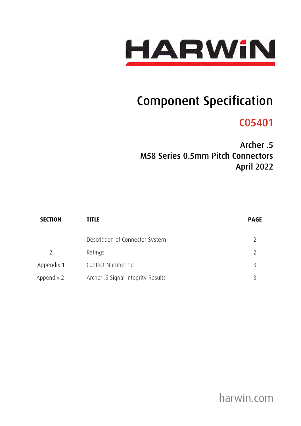

# Component Specification

# C05401

Archer .5 M58 Series 0.5mm Pitch Connectors April 2022

| <b>SECTION</b> | TITLE                              | <b>PAGE</b> |
|----------------|------------------------------------|-------------|
| 1              | Description of Connector System    |             |
| 2              | Ratings                            |             |
| Appendix 1     | Contact Numbering                  |             |
| Appendix 2     | Archer .5 Signal Integrity Results |             |

harwin.com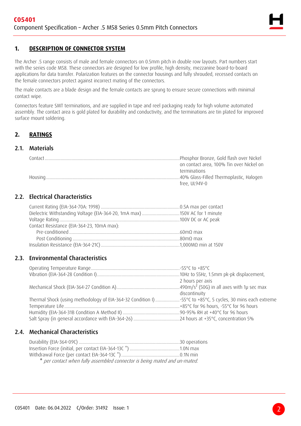

# **1. DESCRIPTION OF CONNECTOR SYSTEM**

The Archer .5 range consists of male and female connectors on 0.5mm pitch in double row layouts. Part numbers start with the series code M58. These connectors are designed for low profile, high density, mezzanine board-to-board applications for data transfer. Polarization features on the connector housings and fully shrouded, recessed contacts on the female connectors protect against incorrect mating of the connectors.

The male contacts are a blade design and the female contacts are sprung to ensure secure connections with minimal contact wipe.

Connectors feature SMT terminations, and are supplied in tape and reel packaging ready for high volume automated assembly. The contact area is gold plated for durability and conductivity, and the terminations are tin plated for improved surface mount soldering.

## **2. RATINGS**

#### 2.1. Materials

| Contact | Phosphor Bronze, Gold flash over Nickel  |
|---------|------------------------------------------|
|         | on contact area, 100% Tin over Nickel on |
|         | terminations                             |
|         | 40% Glass-Filled Thermoplastic, Halogen  |
|         | free, UL94V-0                            |

# 2.2. Electrical Characteristics

| Contact Resistance (EIA-364-23, 10mA max): |  |
|--------------------------------------------|--|
|                                            |  |
|                                            |  |
|                                            |  |

### 2.3. Environmental Characteristics

|                                                                                                           | 2 hours per axis |
|-----------------------------------------------------------------------------------------------------------|------------------|
|                                                                                                           |                  |
|                                                                                                           | discontinuity    |
| Thermal Shock (using methodology of EIA-364-32 Condition I) 55°C to +85°C, 5 cycles, 30 mins each extreme |                  |
|                                                                                                           |                  |
|                                                                                                           |                  |
|                                                                                                           |                  |

# 2.4. Mechanical Characteristics

| * per contact when fully assembled connector is being mated and un-mated. |  |
|---------------------------------------------------------------------------|--|